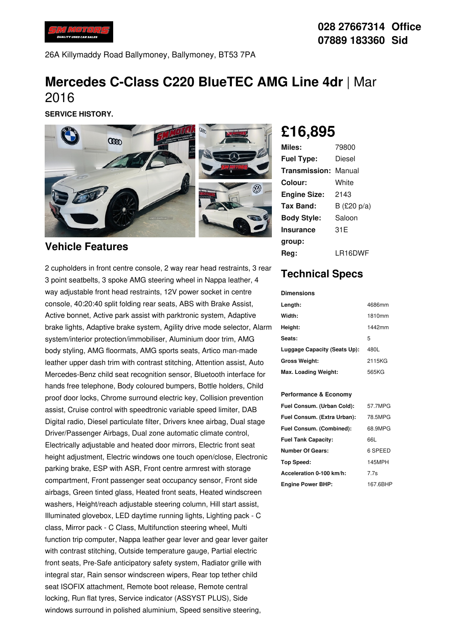

26A Killymaddy Road Ballymoney, Ballymoney, BT53 7PA

# **Mercedes C-Class C220 BlueTEC AMG Line 4dr** |Mar 2016

**SERVICE HISTORY.**



#### **Vehicle Features**

2 cupholders in front centre console, 2 way rear head restraints, 3 rear 3 point seatbelts, 3 spoke AMG steering wheel in Nappa leather, 4 way adjustable front head restraints, 12V power socket in centre console, 40:20:40 split folding rear seats, ABS with Brake Assist, Active bonnet, Active park assist with parktronic system, Adaptive brake lights, Adaptive brake system, Agility drive mode selector, Alarm system/interior protection/immobiliser, Aluminium door trim, AMG body styling, AMG floormats, AMG sports seats, Artico man-made leather upper dash trim with contrast stitching, Attention assist, Auto Mercedes-Benz child seat recognition sensor, Bluetooth interface for hands free telephone, Body coloured bumpers, Bottle holders, Child proof door locks, Chrome surround electric key, Collision prevention assist, Cruise control with speedtronic variable speed limiter, DAB Digital radio, Diesel particulate filter, Drivers knee airbag, Dual stage Driver/Passenger Airbags, Dual zone automatic climate control, Electrically adjustable and heated door mirrors, Electric front seat height adjustment, Electric windows one touch open/close, Electronic parking brake, ESP with ASR, Front centre armrest with storage compartment, Front passenger seat occupancy sensor, Front side airbags, Green tinted glass, Heated front seats, Heated windscreen washers, Height/reach adjustable steering column, Hill start assist, Illuminated glovebox, LED daytime running lights, Lighting pack - C class, Mirror pack - C Class, Multifunction steering wheel, Multi function trip computer, Nappa leather gear lever and gear lever gaiter with contrast stitching, Outside temperature gauge, Partial electric front seats, Pre-Safe anticipatory safety system, Radiator grille with integral star, Rain sensor windscreen wipers, Rear top tether child seat ISOFIX attachment, Remote boot release, Remote central locking, Run flat tyres, Service indicator (ASSYST PLUS), Side windows surround in polished aluminium. Speed sensitive steering,

**£16,895**

| Miles:              | 79800          |
|---------------------|----------------|
| <b>Fuel Type:</b>   | Diesel         |
| Transmission:       | Manual         |
| Colour:             | White          |
| <b>Engine Size:</b> | 2143           |
| Tax Band:           | B (£20 $p/a$ ) |
| <b>Body Style:</b>  | Saloon         |
| <b>Insurance</b>    | 31 E           |
| group:              |                |
| Rea:                | LR16DWF        |

## **Technical Specs**

**Dimensions**

| Length:                      | 4686mm |
|------------------------------|--------|
| Width:                       | 1810mm |
| Height:                      | 1442mm |
| Seats:                       | 5      |
| Luggage Capacity (Seats Up): | 480L   |
| <b>Gross Weight:</b>         | 2115KG |
| Max. Loading Weight:         | 565KG  |

#### **Performance & Economy**

| Fuel Consum. (Urban Cold):  | 57.7MPG  |
|-----------------------------|----------|
| Fuel Consum. (Extra Urban): | 78.5MPG  |
| Fuel Consum. (Combined):    | 68.9MPG  |
| <b>Fuel Tank Capacity:</b>  | 66L      |
| Number Of Gears:            | 6 SPEED  |
| <b>Top Speed:</b>           | 145MPH   |
| Acceleration 0-100 km/h:    | 7 7s     |
| <b>Engine Power BHP:</b>    | 167.6BHP |